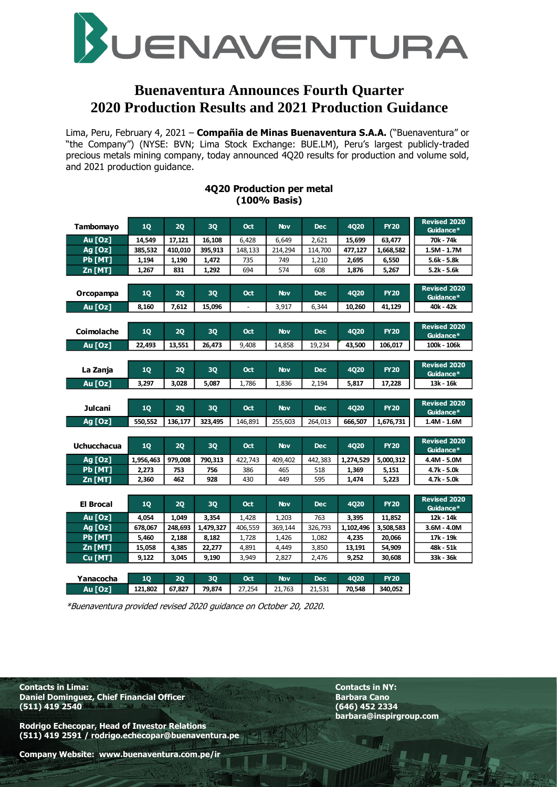

## **Buenaventura Announces Fourth Quarter 2020 Production Results and 2021 Production Guidance**

Lima, Peru, February 4, 2021 – **Compañia de Minas Buenaventura S.A.A.** ("Buenaventura" or "the Company") (NYSE: BVN; Lima Stock Exchange: BUE.LM), Peru's largest publicly-traded precious metals mining company, today announced 4Q20 results for production and volume sold, and 2021 production guidance.

| Tambomayo                        | 10        | 20      | 30        | Oct        | <b>Nov</b> | <b>Dec</b> | <b>4020</b> | <b>FY20</b> | <b>Revised 2020</b><br>Guidance* |
|----------------------------------|-----------|---------|-----------|------------|------------|------------|-------------|-------------|----------------------------------|
| Au [Oz]                          | 14,549    | 17,121  | 16,108    | 6,428      | 6.649      | 2,621      | 15,699      | 63,477      | 70k - 74k                        |
| Ag [Oz]                          | 385.532   | 410.010 | 395.913   | 148.133    | 214.294    | 114,700    | 477.127     | 1,668,582   | $1.5M - 1.7M$                    |
| Pb [MT]                          | 1,194     | 1,190   | 1,472     | 735        | 749        | 1,210      | 2,695       | 6,550       | 5.6k - 5.8k                      |
| Zn [MT]                          | 1,267     | 831     | 1,292     | 694        | 574        | 608        | 1,876       | 5,267       | $5.2k - 5.6k$                    |
|                                  |           |         |           |            |            |            |             |             |                                  |
| Orcopampa                        | 10        | 20      | 30        | Oct        | <b>Nov</b> | <b>Dec</b> | <b>4020</b> | <b>FY20</b> | <b>Revised 2020</b><br>Guidance* |
| Au [Oz]                          | 8,160     | 7,612   | 15,096    |            | 3,917      | 6,344      | 10,260      | 41,129      | 40k - 42k                        |
|                                  |           |         |           |            |            |            |             |             |                                  |
| Coimolache                       | <b>1Q</b> | 2Q      | <b>3Q</b> | <b>Oct</b> | <b>Nov</b> | <b>Dec</b> | <b>4020</b> | <b>FY20</b> | <b>Revised 2020</b><br>Guidance* |
| Au [Oz]                          | 22,493    | 13,551  | 26,473    | 9,408      | 14,858     | 19,234     | 43,500      | 106,017     | 100k - 106k                      |
|                                  |           |         |           |            |            |            |             |             |                                  |
| La Zanja                         | 10        | 20      | 30        | Oct        | <b>Nov</b> | <b>Dec</b> | <b>4020</b> | <b>FY20</b> | <b>Revised 2020</b><br>Guidance* |
| Au [Oz]                          | 3,297     | 3,028   | 5,087     | 1,786      | 1,836      | 2,194      | 5,817       | 17,228      | 13k - 16k                        |
|                                  |           |         |           |            |            |            |             |             |                                  |
|                                  |           |         |           |            |            |            |             |             | <b>Revised 2020</b>              |
| Julcani                          | 1Q        | 2Q      | 30        | Oct        | <b>Nov</b> | <b>Dec</b> | <b>4Q20</b> | <b>FY20</b> | Guidance*                        |
| <b>Ag [Oz]</b>                   | 550,552   | 136,177 | 323,495   | 146,891    | 255,603    | 264.013    | 666,507     | 1,676,731   | 1.4M - 1.6M                      |
|                                  |           |         |           |            |            |            |             |             |                                  |
| <b>Uchucchacua</b>               | 1Q        | 2Q      | 30        | Oct        | <b>Nov</b> | <b>Dec</b> | <b>4Q20</b> | <b>FY20</b> | <b>Revised 2020</b><br>Guidance* |
|                                  | 1,956,463 | 979,008 | 790,313   | 422,743    | 409,402    | 442,383    | 1,274,529   | 5,000,312   | 4.4M - 5.0M                      |
| <b>Ag [Oz]</b><br><b>Pb</b> [MT] | 2,273     | 753     | 756       | 386        | 465        | 518        | 1,369       | 5,151       | 4.7k - 5.0k                      |
|                                  | 2.360     | 462     | 928       | 430        | 449        | 595        | 1.474       | 5.223       | $4.7k - 5.0k$                    |
| $Zn$ [MT]                        |           |         |           |            |            |            |             |             |                                  |
| <b>El Brocal</b>                 | <b>1Q</b> | 2Q      | <b>3Q</b> | <b>Oct</b> | <b>Nov</b> | <b>Dec</b> | <b>4Q20</b> | <b>FY20</b> | <b>Revised 2020</b><br>Guidance* |
| Au [Oz]                          | 4,054     | 1,049   | 3,354     | 1.428      | 1,203      | 763        | 3,395       | 11,852      | 12k - 14k                        |
| Ag [Oz]                          | 678,067   | 248,693 | 1,479,327 | 406,559    | 369,144    | 326,793    | 1,102,496   | 3,508,583   | 3.6M - 4.0M                      |
| Pb [MT]                          | 5,460     | 2,188   | 8,182     | 1,728      | 1,426      | 1,082      | 4,235       | 20,066      | 17k - 19k                        |
| Zn [MT]                          | 15,058    | 4,385   | 22,277    | 4,891      | 4,449      | 3,850      | 13,191      | 54,909      | 48k - 51k                        |
| Cu [MT]                          | 9,122     | 3,045   | 9,190     | 3,949      | 2,827      | 2,476      | 9,252       | 30,608      | 33k - 36k                        |
|                                  |           |         |           |            |            |            |             |             |                                  |
| Yanacocha                        | 10        | 20      | <b>3Q</b> | <b>Oct</b> | <b>Nov</b> | <b>Dec</b> | <b>4020</b> | <b>FY20</b> |                                  |

#### **4Q20 Production per metal (100% Basis)**

\*Buenaventura provided revised 2020 guidance on October 20, 2020.

**Contacts in Lima: Contacts in NY: Daniel Dominguez, Chief Financial Officer Server Access 2018** Barbara Cano<br>
(511) 419 2540 (646) 452 2334 **(511) 419 2540 (646) 452 2334**

**Rodrigo Echecopar, Head of Investor Relations (511) 419 2591 / rodrigo.echecopar@buenaventura.pe**  **barbara@inspirgroup.com**

**Company Website: www.buenaventura.com.pe/ir**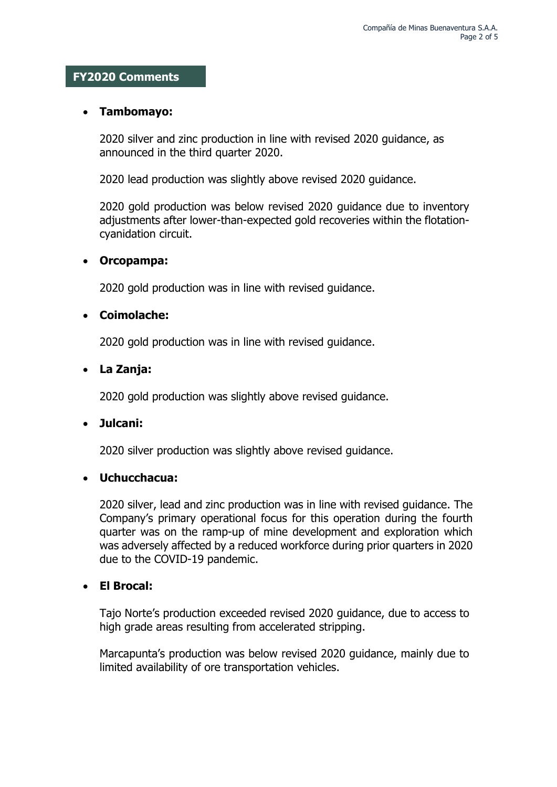#### **FY2020 Comments**

#### **Tambomayo:**

2020 silver and zinc production in line with revised 2020 guidance, as announced in the third quarter 2020.

2020 lead production was slightly above revised 2020 guidance.

2020 gold production was below revised 2020 guidance due to inventory adjustments after lower-than-expected gold recoveries within the flotationcyanidation circuit.

#### **Orcopampa:**

2020 gold production was in line with revised guidance.

### **Coimolache:**

2020 gold production was in line with revised guidance.

### **La Zanja:**

2020 gold production was slightly above revised guidance.

#### **Julcani:**

2020 silver production was slightly above revised guidance.

## **Uchucchacua:**

2020 silver, lead and zinc production was in line with revised guidance. The Company's primary operational focus for this operation during the fourth quarter was on the ramp-up of mine development and exploration which was adversely affected by a reduced workforce during prior quarters in 2020 due to the COVID-19 pandemic.

## **El Brocal:**

Tajo Norte's production exceeded revised 2020 guidance, due to access to high grade areas resulting from accelerated stripping.

Marcapunta's production was below revised 2020 guidance, mainly due to limited availability of ore transportation vehicles.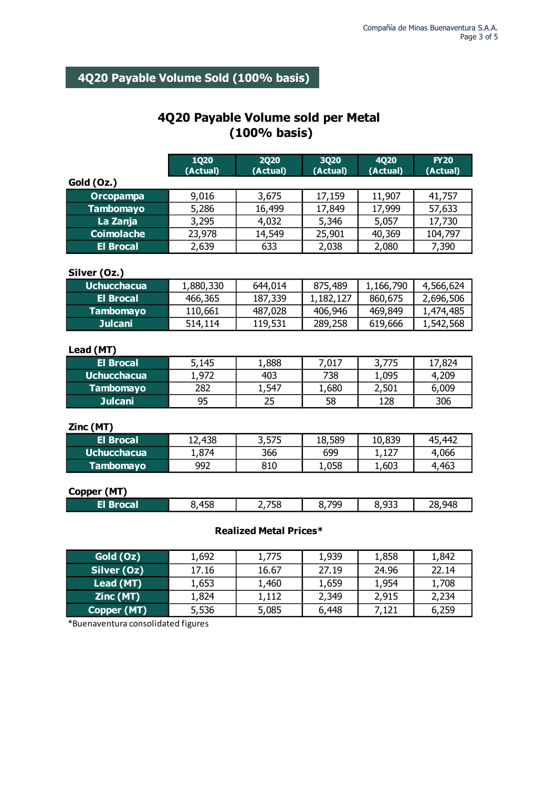# **4Q20 Payable Volume Sold (100% basis)**

## **4Q20 Payable Volume sold per Metal (100% basis)**

|                    | <b>1Q20</b> | <b>2Q20</b>       | <b>3Q20</b> | 4Q20      | <b>FY20</b> |
|--------------------|-------------|-------------------|-------------|-----------|-------------|
|                    | (Actual)    | (Actual)          | (Actual)    | (Actual)  | (Actual)    |
| Gold (Oz.)         |             |                   |             |           |             |
| <b>Orcopampa</b>   | 9,016       | 3,675             | 17,159      | 11,907    | 41,757      |
| <b>Tambomayo</b>   | 5,286       | 16,499            | 17,849      | 17,999    | 57,633      |
| La Zanja           | 3,295       | 4,032             | 5,346       | 5,057     | 17,730      |
| <b>Coimolache</b>  | 23,978      | 14,549            | 25,901      | 40,369    | 104,797     |
| <b>El Brocal</b>   | 2,639       | 633               | 2,038       | 2,080     | 7,390       |
|                    |             |                   |             |           |             |
| Silver (Oz.)       |             |                   |             |           |             |
| <b>Uchucchacua</b> | 1,880,330   | 644,014           | 875,489     | 1,166,790 | 4,566,624   |
| <b>El Brocal</b>   | 466,365     | 187,339           | 1,182,127   | 860,675   | 2,696,506   |
| <b>Tambomayo</b>   | 110,661     | 487,028           | 406,946     | 469,849   | 1,474,485   |
| <b>Julcani</b>     | 514,114     | 119,531           | 289,258     | 619,666   | 1,542,568   |
|                    |             |                   |             |           |             |
| Lead (MT)          |             |                   |             |           |             |
| <b>El Brocal</b>   | 5,145       | 1,888             | 7,017       | 3,775     | 17,824      |
| <b>Uchucchacua</b> | 1,972       | 403               | 738         | 1,095     | 4,209       |
| <b>Tambomayo</b>   | 282         | 1,547             | 1,680       | 2,501     | 6,009       |
| <b>Julcani</b>     | 95          | 25                | 58          | 128       | 306         |
|                    |             |                   |             |           |             |
| Zinc (MT)          |             |                   |             |           |             |
| <b>El Brocal</b>   | 12,438      | 3,575             | 18,589      | 10,839    | 45,442      |
| <b>Uchucchacua</b> | 1,874       | 366               | 699         | 1,127     | 4,066       |
| <b>Tambomayo</b>   | 992         | 810               | 1,058       | 1,603     | 4,463       |
|                    |             |                   |             |           |             |
| Copper (MT)        |             |                   |             |           |             |
| <b>El Brocal</b>   | 8,458       | 2,758             | 8,799       | 8,933     | 28,948      |
|                    |             |                   |             |           |             |
|                    |             | J 84.A<br>-1 n.J. |             |           |             |

#### **Realized Metal Prices\***

| Gold (Oz)   | 1,692 | 1,775 | 1,939 | 1,858 | 1,842 |
|-------------|-------|-------|-------|-------|-------|
| Silver (Oz) | 17.16 | 16.67 | 27.19 | 24.96 | 22.14 |
| Lead (MT)   | 1,653 | 1,460 | 1,659 | 1.954 | 1,708 |
| Zinc(MT)    | 1,824 | 1,112 | 2,349 | 2,915 | 2,234 |
| Copper (MT) | 5,536 | 5,085 | 6,448 | 7,121 | 6,259 |

\*Buenaventura consolidated figures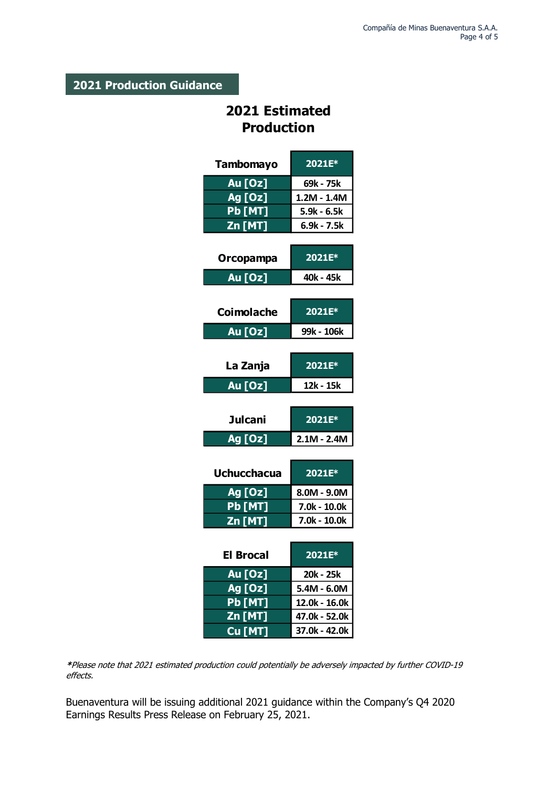## **2021 Production Guidance**

# **2021 Estimated Production**

| <b>Tambomayo</b>              | 2021E*         |
|-------------------------------|----------------|
| Au [Oz]                       | 69k - 75k      |
| Ag [Oz]                       | $1.2M - 1.4M$  |
| <b>Pb [MT]</b>                | $5.9k - 6.5k$  |
| Zn [MT]                       | 6.9k - 7.5k    |
|                               |                |
| Orcopampa                     | 2021E*         |
| Au [Oz]                       | 40k - 45k      |
| Coimolache                    | 2021E*         |
| <b>Au [Oz]</b>                | 99k - 106k     |
|                               |                |
| La Zanja                      | 2021E*         |
| Au [Oz]                       | 12k - 15k      |
|                               |                |
| <b>Julcani</b>                | 2021E*         |
| Ag [Oz]                       | $2.1M - 2.4M$  |
|                               |                |
| <b>Uchucchacua</b>            | 2021E*         |
| <b>Ag [Oz]</b>                | $8.0M - 9.0M$  |
| <b>Pb [MT]</b>                | 7.0k - 10.0k   |
| $\overline{\mathsf{Zn}}$ [MT] | $7.0k - 10.0k$ |
|                               |                |
| El Brocal                     | 2021E*         |
| Au [Oz]                       | 20k - 25k      |
| Ag [Oz]                       | $5.4M - 6.0M$  |
|                               |                |
| <b>Pb [MT]</b>                | 12.0k - 16.0k  |
| Zn [MT]                       | 47.0k - 52.0k  |

**\***Please note that 2021 estimated production could potentially be adversely impacted by further COVID-19 effects.

Buenaventura will be issuing additional 2021 guidance within the Company's Q4 2020 Earnings Results Press Release on February 25, 2021.